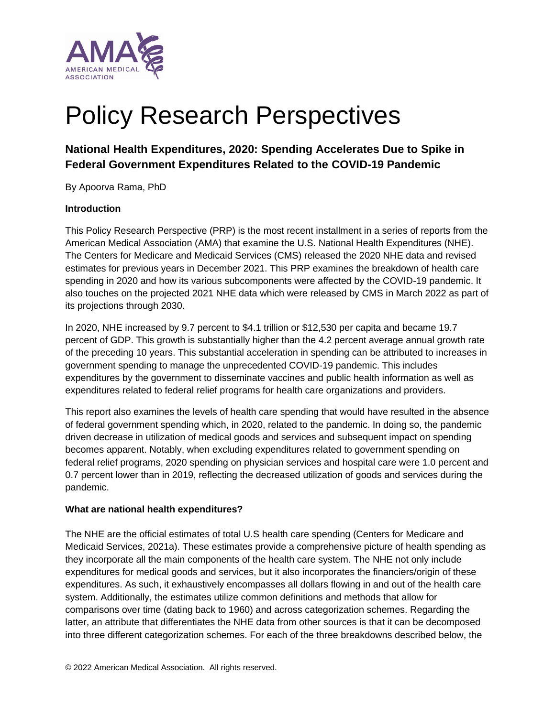

# Policy Research Perspectives

# **National Health Expenditures, 2020: Spending Accelerates Due to Spike in Federal Government Expenditures Related to the COVID-19 Pandemic**

By Apoorva Rama, PhD

#### **Introduction**

This Policy Research Perspective (PRP) is the most recent installment in a series of reports from the American Medical Association (AMA) that examine the U.S. National Health Expenditures (NHE). The Centers for Medicare and Medicaid Services (CMS) released the 2020 NHE data and revised estimates for previous years in December 2021. This PRP examines the breakdown of health care spending in 2020 and how its various subcomponents were affected by the COVID-19 pandemic. It also touches on the projected 2021 NHE data which were released by CMS in March 2022 as part of its projections through 2030.

In 2020, NHE increased by 9.7 percent to \$4.1 trillion or \$12,530 per capita and became 19.7 percent of GDP. This growth is substantially higher than the 4.2 percent average annual growth rate of the preceding 10 years. This substantial acceleration in spending can be attributed to increases in government spending to manage the unprecedented COVID-19 pandemic. This includes expenditures by the government to disseminate vaccines and public health information as well as expenditures related to federal relief programs for health care organizations and providers.

This report also examines the levels of health care spending that would have resulted in the absence of federal government spending which, in 2020, related to the pandemic. In doing so, the pandemic driven decrease in utilization of medical goods and services and subsequent impact on spending becomes apparent. Notably, when excluding expenditures related to government spending on federal relief programs, 2020 spending on physician services and hospital care were 1.0 percent and 0.7 percent lower than in 2019, reflecting the decreased utilization of goods and services during the pandemic.

#### **What are national health expenditures?**

The NHE are the official estimates of total U.S health care spending (Centers for Medicare and Medicaid Services, 2021a). These estimates provide a comprehensive picture of health spending as they incorporate all the main components of the health care system. The NHE not only include expenditures for medical goods and services, but it also incorporates the financiers/origin of these expenditures. As such, it exhaustively encompasses all dollars flowing in and out of the health care system. Additionally, the estimates utilize common definitions and methods that allow for comparisons over time (dating back to 1960) and across categorization schemes. Regarding the latter, an attribute that differentiates the NHE data from other sources is that it can be decomposed into three different categorization schemes. For each of the three breakdowns described below, the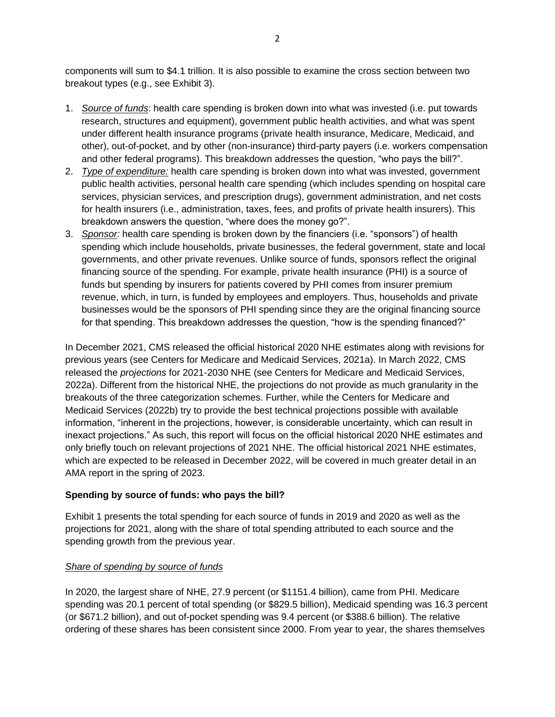components will sum to \$4.1 trillion. It is also possible to examine the cross section between two breakout types (e.g., see Exhibit 3).

- 1. *Source of funds*: health care spending is broken down into what was invested (i.e. put towards research, structures and equipment), government public health activities, and what was spent under different health insurance programs (private health insurance, Medicare, Medicaid, and other), out-of-pocket, and by other (non-insurance) third-party payers (i.e. workers compensation and other federal programs). This breakdown addresses the question, "who pays the bill?".
- 2. *Type of expenditure:* health care spending is broken down into what was invested, government public health activities, personal health care spending (which includes spending on hospital care services, physician services, and prescription drugs), government administration, and net costs for health insurers (i.e., administration, taxes, fees, and profits of private health insurers). This breakdown answers the question, "where does the money go?".
- 3. *Sponsor:* health care spending is broken down by the financiers (i.e. "sponsors") of health spending which include households, private businesses, the federal government, state and local governments, and other private revenues. Unlike source of funds, sponsors reflect the original financing source of the spending. For example, private health insurance (PHI) is a source of funds but spending by insurers for patients covered by PHI comes from insurer premium revenue, which, in turn, is funded by employees and employers. Thus, households and private businesses would be the sponsors of PHI spending since they are the original financing source for that spending. This breakdown addresses the question, "how is the spending financed?"

In December 2021, CMS released the official historical 2020 NHE estimates along with revisions for previous years (see Centers for Medicare and Medicaid Services, 2021a). In March 2022, CMS released the *projections* for 2021-2030 NHE (see Centers for Medicare and Medicaid Services, 2022a). Different from the historical NHE, the projections do not provide as much granularity in the breakouts of the three categorization schemes. Further, while the Centers for Medicare and Medicaid Services (2022b) try to provide the best technical projections possible with available information, "inherent in the projections, however, is considerable uncertainty, which can result in inexact projections." As such, this report will focus on the official historical 2020 NHE estimates and only briefly touch on relevant projections of 2021 NHE. The official historical 2021 NHE estimates, which are expected to be released in December 2022, will be covered in much greater detail in an AMA report in the spring of 2023.

# **Spending by source of funds: who pays the bill?**

Exhibit 1 presents the total spending for each source of funds in 2019 and 2020 as well as the projections for 2021, along with the share of total spending attributed to each source and the spending growth from the previous year.

# *Share of spending by source of funds*

In 2020, the largest share of NHE, 27.9 percent (or \$1151.4 billion), came from PHI. Medicare spending was 20.1 percent of total spending (or \$829.5 billion), Medicaid spending was 16.3 percent (or \$671.2 billion), and out of-pocket spending was 9.4 percent (or \$388.6 billion). The relative ordering of these shares has been consistent since 2000. From year to year, the shares themselves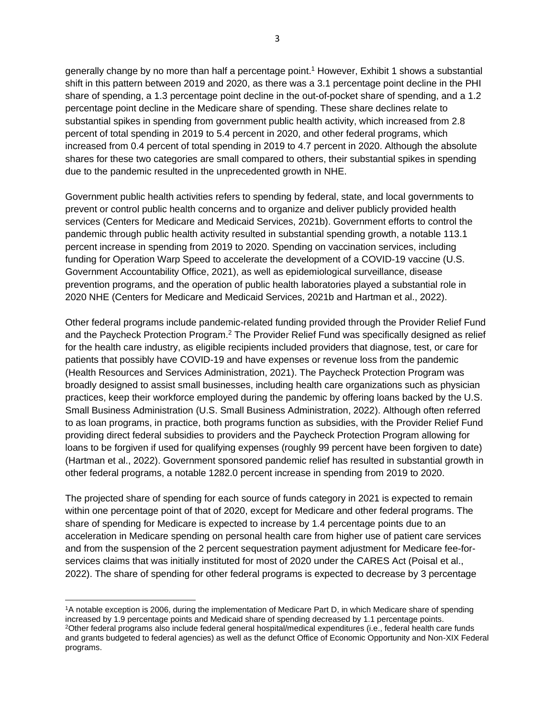generally change by no more than half a percentage point.<sup>1</sup> However, Exhibit 1 shows a substantial shift in this pattern between 2019 and 2020, as there was a 3.1 percentage point decline in the PHI share of spending, a 1.3 percentage point decline in the out-of-pocket share of spending, and a 1.2 percentage point decline in the Medicare share of spending. These share declines relate to substantial spikes in spending from government public health activity, which increased from 2.8 percent of total spending in 2019 to 5.4 percent in 2020, and other federal programs, which increased from 0.4 percent of total spending in 2019 to 4.7 percent in 2020. Although the absolute shares for these two categories are small compared to others, their substantial spikes in spending due to the pandemic resulted in the unprecedented growth in NHE.

Government public health activities refers to spending by federal, state, and local governments to prevent or control public health concerns and to organize and deliver publicly provided health services (Centers for Medicare and Medicaid Services, 2021b). Government efforts to control the pandemic through public health activity resulted in substantial spending growth, a notable 113.1 percent increase in spending from 2019 to 2020. Spending on vaccination services, including funding for Operation Warp Speed to accelerate the development of a COVID-19 vaccine (U.S. Government Accountability Office, 2021), as well as epidemiological surveillance, disease prevention programs, and the operation of public health laboratories played a substantial role in 2020 NHE (Centers for Medicare and Medicaid Services, 2021b and Hartman et al., 2022).

Other federal programs include pandemic-related funding provided through the Provider Relief Fund and the Paycheck Protection Program.<sup>2</sup> The Provider Relief Fund was specifically designed as relief for the health care industry, as eligible recipients included providers that diagnose, test, or care for patients that possibly have COVID-19 and have expenses or revenue loss from the pandemic (Health Resources and Services Administration, 2021). The Paycheck Protection Program was broadly designed to assist small businesses, including health care organizations such as physician practices, keep their workforce employed during the pandemic by offering loans backed by the U.S. Small Business Administration (U.S. Small Business Administration, 2022). Although often referred to as loan programs, in practice, both programs function as subsidies, with the Provider Relief Fund providing direct federal subsidies to providers and the Paycheck Protection Program allowing for loans to be forgiven if used for qualifying expenses (roughly 99 percent have been forgiven to date) (Hartman et al., 2022). Government sponsored pandemic relief has resulted in substantial growth in other federal programs, a notable 1282.0 percent increase in spending from 2019 to 2020.

The projected share of spending for each source of funds category in 2021 is expected to remain within one percentage point of that of 2020, except for Medicare and other federal programs. The share of spending for Medicare is expected to increase by 1.4 percentage points due to an acceleration in Medicare spending on personal health care from higher use of patient care services and from the suspension of the 2 percent sequestration payment adjustment for Medicare fee-forservices claims that was initially instituted for most of 2020 under the CARES Act (Poisal et al., 2022). The share of spending for other federal programs is expected to decrease by 3 percentage

<sup>1</sup>A notable exception is 2006, during the implementation of Medicare Part D, in which Medicare share of spending increased by 1.9 percentage points and Medicaid share of spending decreased by 1.1 percentage points. <sup>2</sup>Other federal programs also include federal general hospital/medical expenditures (i.e., federal health care funds and grants budgeted to federal agencies) as well as the defunct Office of Economic Opportunity and Non-XIX Federal programs.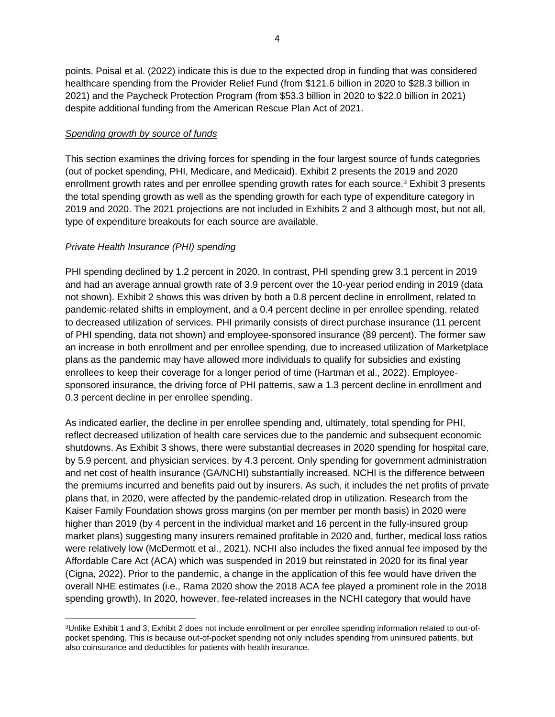points. Poisal et al. (2022) indicate this is due to the expected drop in funding that was considered healthcare spending from the Provider Relief Fund (from \$121.6 billion in 2020 to \$28.3 billion in 2021) and the Paycheck Protection Program (from \$53.3 billion in 2020 to \$22.0 billion in 2021) despite additional funding from the American Rescue Plan Act of 2021.

#### *Spending growth by source of funds*

This section examines the driving forces for spending in the four largest source of funds categories (out of pocket spending, PHI, Medicare, and Medicaid). Exhibit 2 presents the 2019 and 2020 enrollment growth rates and per enrollee spending growth rates for each source.<sup>3</sup> Exhibit 3 presents the total spending growth as well as the spending growth for each type of expenditure category in 2019 and 2020. The 2021 projections are not included in Exhibits 2 and 3 although most, but not all, type of expenditure breakouts for each source are available.

# *Private Health Insurance (PHI) spending*

PHI spending declined by 1.2 percent in 2020. In contrast, PHI spending grew 3.1 percent in 2019 and had an average annual growth rate of 3.9 percent over the 10-year period ending in 2019 (data not shown). Exhibit 2 shows this was driven by both a 0.8 percent decline in enrollment, related to pandemic-related shifts in employment, and a 0.4 percent decline in per enrollee spending, related to decreased utilization of services. PHI primarily consists of direct purchase insurance (11 percent of PHI spending, data not shown) and employee-sponsored insurance (89 percent). The former saw an increase in both enrollment and per enrollee spending, due to increased utilization of Marketplace plans as the pandemic may have allowed more individuals to qualify for subsidies and existing enrollees to keep their coverage for a longer period of time (Hartman et al., 2022). Employeesponsored insurance, the driving force of PHI patterns, saw a 1.3 percent decline in enrollment and 0.3 percent decline in per enrollee spending.

As indicated earlier, the decline in per enrollee spending and, ultimately, total spending for PHI, reflect decreased utilization of health care services due to the pandemic and subsequent economic shutdowns. As Exhibit 3 shows, there were substantial decreases in 2020 spending for hospital care, by 5.9 percent, and physician services, by 4.3 percent. Only spending for government administration and net cost of health insurance (GA/NCHI) substantially increased. NCHI is the difference between the premiums incurred and benefits paid out by insurers. As such, it includes the net profits of private plans that, in 2020, were affected by the pandemic-related drop in utilization. Research from the Kaiser Family Foundation shows gross margins (on per member per month basis) in 2020 were higher than 2019 (by 4 percent in the individual market and 16 percent in the fully-insured group market plans) suggesting many insurers remained profitable in 2020 and, further, medical loss ratios were relatively low (McDermott et al., 2021). NCHI also includes the fixed annual fee imposed by the Affordable Care Act (ACA) which was suspended in 2019 but reinstated in 2020 for its final year (Cigna, 2022). Prior to the pandemic, a change in the application of this fee would have driven the overall NHE estimates (i.e., Rama 2020 show the 2018 ACA fee played a prominent role in the 2018 spending growth). In 2020, however, fee-related increases in the NCHI category that would have

<sup>3</sup>Unlike Exhibit 1 and 3, Exhibit 2 does not include enrollment or per enrollee spending information related to out-ofpocket spending. This is because out-of-pocket spending not only includes spending from uninsured patients, but also coinsurance and deductibles for patients with health insurance.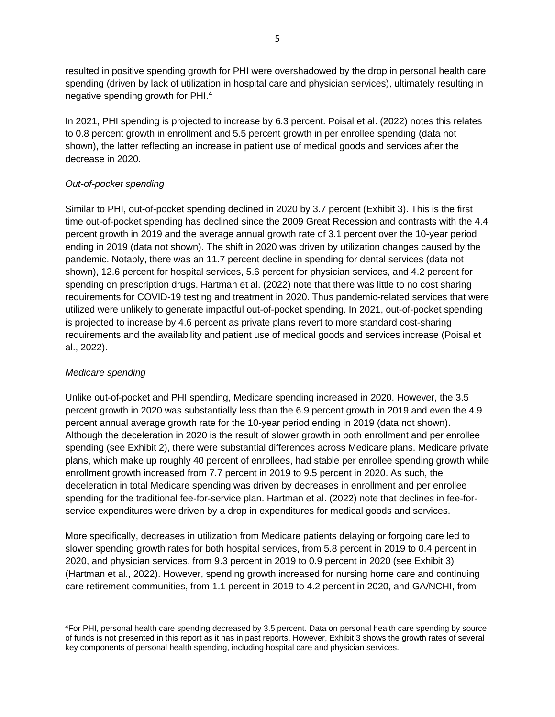resulted in positive spending growth for PHI were overshadowed by the drop in personal health care spending (driven by lack of utilization in hospital care and physician services), ultimately resulting in negative spending growth for PHI. 4

In 2021, PHI spending is projected to increase by 6.3 percent. Poisal et al. (2022) notes this relates to 0.8 percent growth in enrollment and 5.5 percent growth in per enrollee spending (data not shown), the latter reflecting an increase in patient use of medical goods and services after the decrease in 2020.

# *Out-of-pocket spending*

Similar to PHI, out-of-pocket spending declined in 2020 by 3.7 percent (Exhibit 3). This is the first time out-of-pocket spending has declined since the 2009 Great Recession and contrasts with the 4.4 percent growth in 2019 and the average annual growth rate of 3.1 percent over the 10-year period ending in 2019 (data not shown). The shift in 2020 was driven by utilization changes caused by the pandemic. Notably, there was an 11.7 percent decline in spending for dental services (data not shown), 12.6 percent for hospital services, 5.6 percent for physician services, and 4.2 percent for spending on prescription drugs. Hartman et al. (2022) note that there was little to no cost sharing requirements for COVID-19 testing and treatment in 2020. Thus pandemic-related services that were utilized were unlikely to generate impactful out-of-pocket spending. In 2021, out-of-pocket spending is projected to increase by 4.6 percent as private plans revert to more standard cost-sharing requirements and the availability and patient use of medical goods and services increase (Poisal et al., 2022).

# *Medicare spending*

Unlike out-of-pocket and PHI spending, Medicare spending increased in 2020. However, the 3.5 percent growth in 2020 was substantially less than the 6.9 percent growth in 2019 and even the 4.9 percent annual average growth rate for the 10-year period ending in 2019 (data not shown). Although the deceleration in 2020 is the result of slower growth in both enrollment and per enrollee spending (see Exhibit 2), there were substantial differences across Medicare plans. Medicare private plans, which make up roughly 40 percent of enrollees, had stable per enrollee spending growth while enrollment growth increased from 7.7 percent in 2019 to 9.5 percent in 2020. As such, the deceleration in total Medicare spending was driven by decreases in enrollment and per enrollee spending for the traditional fee-for-service plan. Hartman et al. (2022) note that declines in fee-forservice expenditures were driven by a drop in expenditures for medical goods and services.

More specifically, decreases in utilization from Medicare patients delaying or forgoing care led to slower spending growth rates for both hospital services, from 5.8 percent in 2019 to 0.4 percent in 2020, and physician services, from 9.3 percent in 2019 to 0.9 percent in 2020 (see Exhibit 3) (Hartman et al., 2022). However, spending growth increased for nursing home care and continuing care retirement communities, from 1.1 percent in 2019 to 4.2 percent in 2020, and GA/NCHI, from

<sup>4</sup>For PHI, personal health care spending decreased by 3.5 percent. Data on personal health care spending by source of funds is not presented in this report as it has in past reports. However, Exhibit 3 shows the growth rates of several key components of personal health spending, including hospital care and physician services.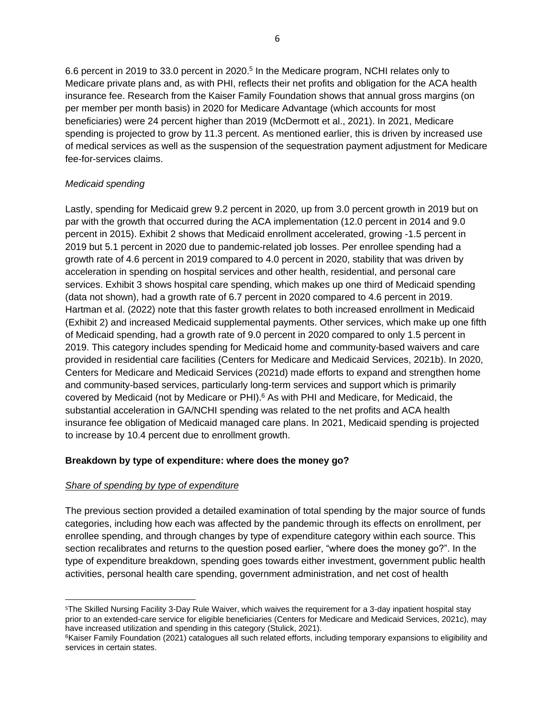6.6 percent in 2019 to 33.0 percent in 2020. 5 In the Medicare program, NCHI relates only to Medicare private plans and, as with PHI, reflects their net profits and obligation for the ACA health insurance fee. Research from the Kaiser Family Foundation shows that annual gross margins (on per member per month basis) in 2020 for Medicare Advantage (which accounts for most beneficiaries) were 24 percent higher than 2019 (McDermott et al., 2021). In 2021, Medicare spending is projected to grow by 11.3 percent. As mentioned earlier, this is driven by increased use of medical services as well as the suspension of the sequestration payment adjustment for Medicare fee-for-services claims.

# *Medicaid spending*

Lastly, spending for Medicaid grew 9.2 percent in 2020, up from 3.0 percent growth in 2019 but on par with the growth that occurred during the ACA implementation (12.0 percent in 2014 and 9.0 percent in 2015). Exhibit 2 shows that Medicaid enrollment accelerated, growing -1.5 percent in 2019 but 5.1 percent in 2020 due to pandemic-related job losses. Per enrollee spending had a growth rate of 4.6 percent in 2019 compared to 4.0 percent in 2020, stability that was driven by acceleration in spending on hospital services and other health, residential, and personal care services. Exhibit 3 shows hospital care spending, which makes up one third of Medicaid spending (data not shown), had a growth rate of 6.7 percent in 2020 compared to 4.6 percent in 2019. Hartman et al. (2022) note that this faster growth relates to both increased enrollment in Medicaid (Exhibit 2) and increased Medicaid supplemental payments. Other services, which make up one fifth of Medicaid spending, had a growth rate of 9.0 percent in 2020 compared to only 1.5 percent in 2019. This category includes spending for Medicaid home and community-based waivers and care provided in residential care facilities (Centers for Medicare and Medicaid Services, 2021b). In 2020, Centers for Medicare and Medicaid Services (2021d) made efforts to expand and strengthen home and community-based services, particularly long-term services and support which is primarily covered by Medicaid (not by Medicare or PHI). <sup>6</sup> As with PHI and Medicare, for Medicaid, the substantial acceleration in GA/NCHI spending was related to the net profits and ACA health insurance fee obligation of Medicaid managed care plans. In 2021, Medicaid spending is projected to increase by 10.4 percent due to enrollment growth.

# **Breakdown by type of expenditure: where does the money go?**

# *Share of spending by type of expenditure*

The previous section provided a detailed examination of total spending by the major source of funds categories, including how each was affected by the pandemic through its effects on enrollment, per enrollee spending, and through changes by type of expenditure category within each source. This section recalibrates and returns to the question posed earlier, "where does the money go?". In the type of expenditure breakdown, spending goes towards either investment, government public health activities, personal health care spending, government administration, and net cost of health

<sup>5</sup>The Skilled Nursing Facility 3-Day Rule Waiver, which waives the requirement for a 3-day inpatient hospital stay prior to an extended-care service for eligible beneficiaries (Centers for Medicare and Medicaid Services, 2021c), may have increased utilization and spending in this category (Stulick, 2021).

<sup>&</sup>lt;sup>6</sup>Kaiser Family Foundation (2021) catalogues all such related efforts, including temporary expansions to eligibility and services in certain states.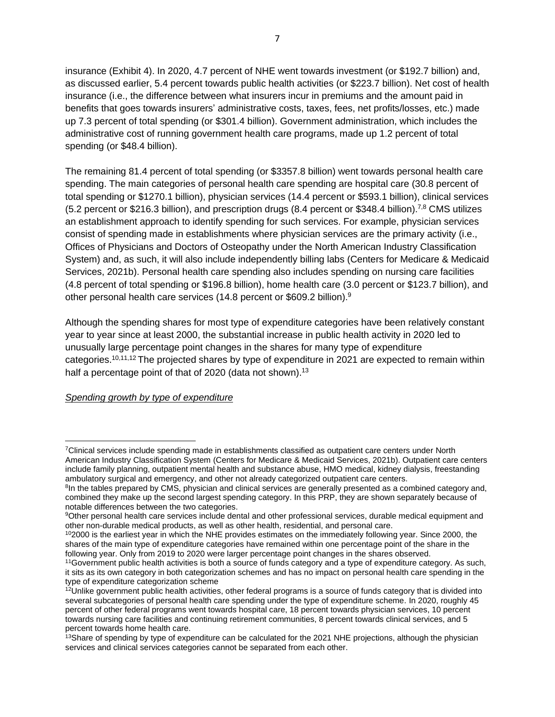insurance (Exhibit 4). In 2020, 4.7 percent of NHE went towards investment (or \$192.7 billion) and, as discussed earlier, 5.4 percent towards public health activities (or \$223.7 billion). Net cost of health insurance (i.e., the difference between what insurers incur in premiums and the amount paid in benefits that goes towards insurers' administrative costs, taxes, fees, net profits/losses, etc.) made up 7.3 percent of total spending (or \$301.4 billion). Government administration, which includes the administrative cost of running government health care programs, made up 1.2 percent of total spending (or \$48.4 billion).

The remaining 81.4 percent of total spending (or \$3357.8 billion) went towards personal health care spending. The main categories of personal health care spending are hospital care (30.8 percent of total spending or \$1270.1 billion), physician services (14.4 percent or \$593.1 billion), clinical services (5.2 percent or \$216.3 billion), and prescription drugs (8.4 percent or \$348.4 billion).<sup>7,8</sup> CMS utilizes an establishment approach to identify spending for such services. For example, physician services consist of spending made in establishments where physician services are the primary activity (i.e., Offices of Physicians and Doctors of Osteopathy under the North American Industry Classification System) and, as such, it will also include independently billing labs (Centers for Medicare & Medicaid Services, 2021b). Personal health care spending also includes spending on nursing care facilities (4.8 percent of total spending or \$196.8 billion), home health care (3.0 percent or \$123.7 billion), and other personal health care services (14.8 percent or \$609.2 billion).<sup>9</sup>

Although the spending shares for most type of expenditure categories have been relatively constant year to year since at least 2000, the substantial increase in public health activity in 2020 led to unusually large percentage point changes in the shares for many type of expenditure categories.10,11,12 The projected shares by type of expenditure in 2021 are expected to remain within half a percentage point of that of 2020 (data not shown).<sup>13</sup>

#### *Spending growth by type of expenditure*

<sup>7</sup>Clinical services include spending made in establishments classified as outpatient care centers under North American Industry Classification System (Centers for Medicare & Medicaid Services, 2021b). Outpatient care centers include family planning, outpatient mental health and substance abuse, HMO medical, kidney dialysis, freestanding ambulatory surgical and emergency, and other not already categorized outpatient care centers.

<sup>&</sup>lt;sup>8</sup>In the tables prepared by CMS, physician and clinical services are generally presented as a combined category and, combined they make up the second largest spending category. In this PRP, they are shown separately because of notable differences between the two categories.

<sup>9</sup>Other personal health care services include dental and other professional services, durable medical equipment and other non-durable medical products, as well as other health, residential, and personal care.

 $102000$  is the earliest year in which the NHE provides estimates on the immediately following year. Since 2000, the shares of the main type of expenditure categories have remained within one percentage point of the share in the following year. Only from 2019 to 2020 were larger percentage point changes in the shares observed.

<sup>11</sup>Government public health activities is both a source of funds category and a type of expenditure category. As such, it sits as its own category in both categorization schemes and has no impact on personal health care spending in the type of expenditure categorization scheme

<sup>&</sup>lt;sup>12</sup>Unlike government public health activities, other federal programs is a source of funds category that is divided into several subcategories of personal health care spending under the type of expenditure scheme. In 2020, roughly 45 percent of other federal programs went towards hospital care, 18 percent towards physician services, 10 percent towards nursing care facilities and continuing retirement communities, 8 percent towards clinical services, and 5 percent towards home health care.

 $13$ Share of spending by type of expenditure can be calculated for the 2021 NHE projections, although the physician services and clinical services categories cannot be separated from each other.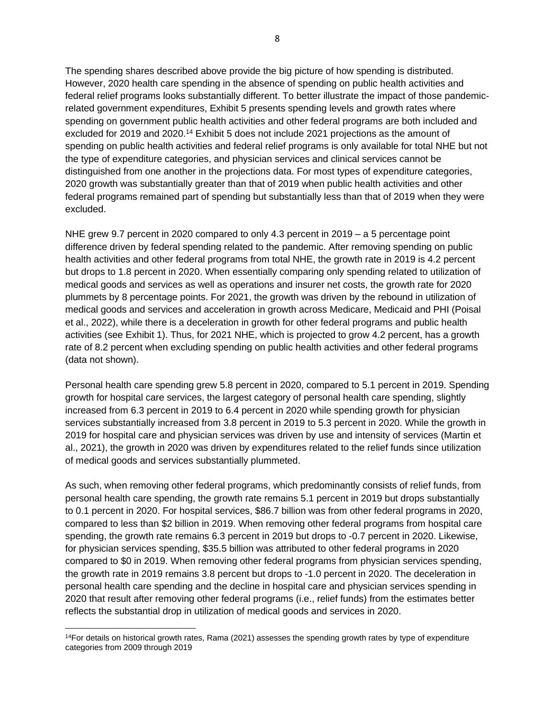The spending shares described above provide the big picture of how spending is distributed. However, 2020 health care spending in the absence of spending on public health activities and federal relief programs looks substantially different. To better illustrate the impact of those pandemicrelated government expenditures, Exhibit 5 presents spending levels and growth rates where spending on government public health activities and other federal programs are both included and excluded for 2019 and 2020.<sup>14</sup> Exhibit 5 does not include 2021 projections as the amount of spending on public health activities and federal relief programs is only available for total NHE but not the type of expenditure categories, and physician services and clinical services cannot be distinguished from one another in the projections data. For most types of expenditure categories, 2020 growth was substantially greater than that of 2019 when public health activities and other federal programs remained part of spending but substantially less than that of 2019 when they were excluded.

NHE grew 9.7 percent in 2020 compared to only 4.3 percent in 2019 – a 5 percentage point difference driven by federal spending related to the pandemic. After removing spending on public health activities and other federal programs from total NHE, the growth rate in 2019 is 4.2 percent but drops to 1.8 percent in 2020. When essentially comparing only spending related to utilization of medical goods and services as well as operations and insurer net costs, the growth rate for 2020 plummets by 8 percentage points. For 2021, the growth was driven by the rebound in utilization of medical goods and services and acceleration in growth across Medicare, Medicaid and PHI (Poisal et al., 2022), while there is a deceleration in growth for other federal programs and public health activities (see Exhibit 1). Thus, for 2021 NHE, which is projected to grow 4.2 percent, has a growth rate of 8.2 percent when excluding spending on public health activities and other federal programs (data not shown).

Personal health care spending grew 5.8 percent in 2020, compared to 5.1 percent in 2019. Spending growth for hospital care services, the largest category of personal health care spending, slightly increased from 6.3 percent in 2019 to 6.4 percent in 2020 while spending growth for physician services substantially increased from 3.8 percent in 2019 to 5.3 percent in 2020. While the growth in 2019 for hospital care and physician services was driven by use and intensity of services (Martin et al., 2021), the growth in 2020 was driven by expenditures related to the relief funds since utilization of medical goods and services substantially plummeted.

As such, when removing other federal programs, which predominantly consists of relief funds, from personal health care spending, the growth rate remains 5.1 percent in 2019 but drops substantially to 0.1 percent in 2020. For hospital services, \$86.7 billion was from other federal programs in 2020, compared to less than \$2 billion in 2019. When removing other federal programs from hospital care spending, the growth rate remains 6.3 percent in 2019 but drops to -0.7 percent in 2020. Likewise, for physician services spending, \$35.5 billion was attributed to other federal programs in 2020 compared to \$0 in 2019. When removing other federal programs from physician services spending, the growth rate in 2019 remains 3.8 percent but drops to -1.0 percent in 2020. The deceleration in personal health care spending and the decline in hospital care and physician services spending in 2020 that result after removing other federal programs (i.e., relief funds) from the estimates better reflects the substantial drop in utilization of medical goods and services in 2020.

<sup>&</sup>lt;sup>14</sup>For details on historical growth rates, Rama (2021) assesses the spending growth rates by type of expenditure categories from 2009 through 2019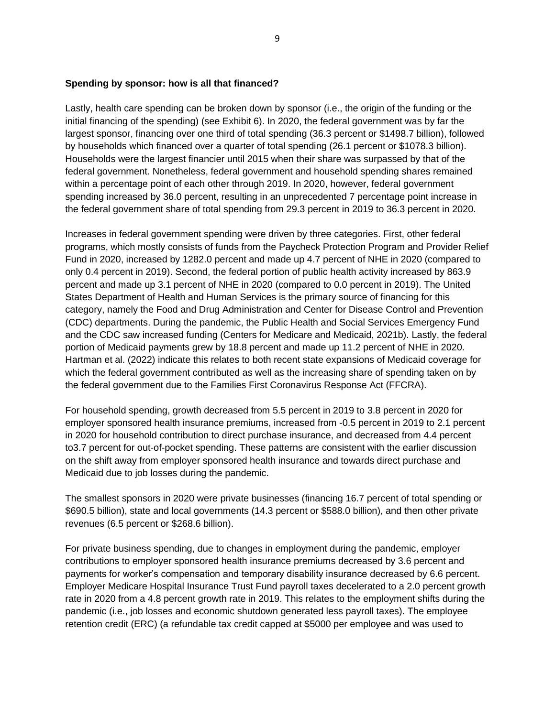#### **Spending by sponsor: how is all that financed?**

Lastly, health care spending can be broken down by sponsor (i.e., the origin of the funding or the initial financing of the spending) (see Exhibit 6). In 2020, the federal government was by far the largest sponsor, financing over one third of total spending (36.3 percent or \$1498.7 billion), followed by households which financed over a quarter of total spending (26.1 percent or \$1078.3 billion). Households were the largest financier until 2015 when their share was surpassed by that of the federal government. Nonetheless, federal government and household spending shares remained within a percentage point of each other through 2019. In 2020, however, federal government spending increased by 36.0 percent, resulting in an unprecedented 7 percentage point increase in the federal government share of total spending from 29.3 percent in 2019 to 36.3 percent in 2020.

Increases in federal government spending were driven by three categories. First, other federal programs, which mostly consists of funds from the Paycheck Protection Program and Provider Relief Fund in 2020, increased by 1282.0 percent and made up 4.7 percent of NHE in 2020 (compared to only 0.4 percent in 2019). Second, the federal portion of public health activity increased by 863.9 percent and made up 3.1 percent of NHE in 2020 (compared to 0.0 percent in 2019). The United States Department of Health and Human Services is the primary source of financing for this category, namely the Food and Drug Administration and Center for Disease Control and Prevention (CDC) departments. During the pandemic, the Public Health and Social Services Emergency Fund and the CDC saw increased funding (Centers for Medicare and Medicaid, 2021b). Lastly, the federal portion of Medicaid payments grew by 18.8 percent and made up 11.2 percent of NHE in 2020. Hartman et al. (2022) indicate this relates to both recent state expansions of Medicaid coverage for which the federal government contributed as well as the increasing share of spending taken on by the federal government due to the Families First Coronavirus Response Act (FFCRA).

For household spending, growth decreased from 5.5 percent in 2019 to 3.8 percent in 2020 for employer sponsored health insurance premiums, increased from -0.5 percent in 2019 to 2.1 percent in 2020 for household contribution to direct purchase insurance, and decreased from 4.4 percent to3.7 percent for out-of-pocket spending. These patterns are consistent with the earlier discussion on the shift away from employer sponsored health insurance and towards direct purchase and Medicaid due to job losses during the pandemic.

The smallest sponsors in 2020 were private businesses (financing 16.7 percent of total spending or \$690.5 billion), state and local governments (14.3 percent or \$588.0 billion), and then other private revenues (6.5 percent or \$268.6 billion).

For private business spending, due to changes in employment during the pandemic, employer contributions to employer sponsored health insurance premiums decreased by 3.6 percent and payments for worker's compensation and temporary disability insurance decreased by 6.6 percent. Employer Medicare Hospital Insurance Trust Fund payroll taxes decelerated to a 2.0 percent growth rate in 2020 from a 4.8 percent growth rate in 2019. This relates to the employment shifts during the pandemic (i.e., job losses and economic shutdown generated less payroll taxes). The employee retention credit (ERC) (a refundable tax credit capped at \$5000 per employee and was used to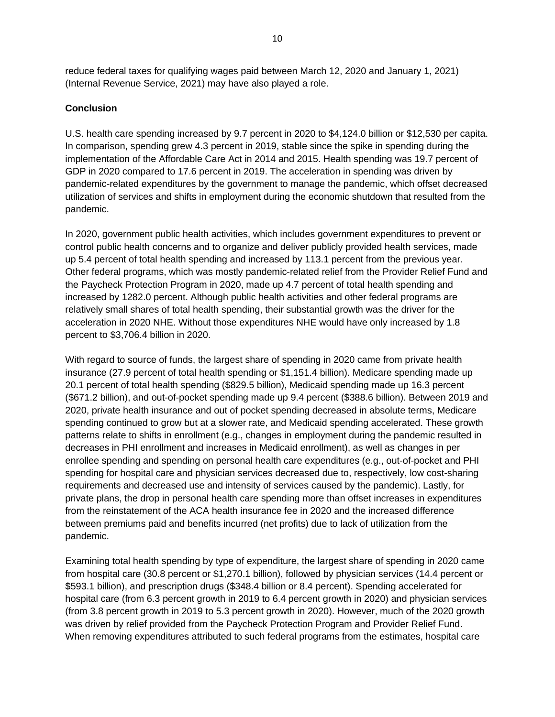reduce federal taxes for qualifying wages paid between March 12, 2020 and January 1, 2021) (Internal Revenue Service, 2021) may have also played a role.

#### **Conclusion**

U.S. health care spending increased by 9.7 percent in 2020 to \$4,124.0 billion or \$12,530 per capita. In comparison, spending grew 4.3 percent in 2019, stable since the spike in spending during the implementation of the Affordable Care Act in 2014 and 2015. Health spending was 19.7 percent of GDP in 2020 compared to 17.6 percent in 2019. The acceleration in spending was driven by pandemic-related expenditures by the government to manage the pandemic, which offset decreased utilization of services and shifts in employment during the economic shutdown that resulted from the pandemic.

In 2020, government public health activities, which includes government expenditures to prevent or control public health concerns and to organize and deliver publicly provided health services, made up 5.4 percent of total health spending and increased by 113.1 percent from the previous year. Other federal programs, which was mostly pandemic-related relief from the Provider Relief Fund and the Paycheck Protection Program in 2020, made up 4.7 percent of total health spending and increased by 1282.0 percent. Although public health activities and other federal programs are relatively small shares of total health spending, their substantial growth was the driver for the acceleration in 2020 NHE. Without those expenditures NHE would have only increased by 1.8 percent to \$3,706.4 billion in 2020.

With regard to source of funds, the largest share of spending in 2020 came from private health insurance (27.9 percent of total health spending or \$1,151.4 billion). Medicare spending made up 20.1 percent of total health spending (\$829.5 billion), Medicaid spending made up 16.3 percent (\$671.2 billion), and out-of-pocket spending made up 9.4 percent (\$388.6 billion). Between 2019 and 2020, private health insurance and out of pocket spending decreased in absolute terms, Medicare spending continued to grow but at a slower rate, and Medicaid spending accelerated. These growth patterns relate to shifts in enrollment (e.g., changes in employment during the pandemic resulted in decreases in PHI enrollment and increases in Medicaid enrollment), as well as changes in per enrollee spending and spending on personal health care expenditures (e.g., out-of-pocket and PHI spending for hospital care and physician services decreased due to, respectively, low cost-sharing requirements and decreased use and intensity of services caused by the pandemic). Lastly, for private plans, the drop in personal health care spending more than offset increases in expenditures from the reinstatement of the ACA health insurance fee in 2020 and the increased difference between premiums paid and benefits incurred (net profits) due to lack of utilization from the pandemic.

Examining total health spending by type of expenditure, the largest share of spending in 2020 came from hospital care (30.8 percent or \$1,270.1 billion), followed by physician services (14.4 percent or \$593.1 billion), and prescription drugs (\$348.4 billion or 8.4 percent). Spending accelerated for hospital care (from 6.3 percent growth in 2019 to 6.4 percent growth in 2020) and physician services (from 3.8 percent growth in 2019 to 5.3 percent growth in 2020). However, much of the 2020 growth was driven by relief provided from the Paycheck Protection Program and Provider Relief Fund. When removing expenditures attributed to such federal programs from the estimates, hospital care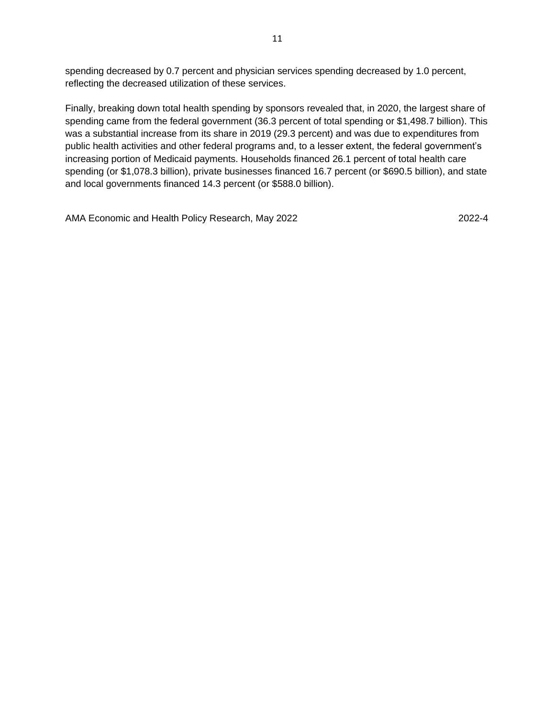spending decreased by 0.7 percent and physician services spending decreased by 1.0 percent, reflecting the decreased utilization of these services.

Finally, breaking down total health spending by sponsors revealed that, in 2020, the largest share of spending came from the federal government (36.3 percent of total spending or \$1,498.7 billion). This was a substantial increase from its share in 2019 (29.3 percent) and was due to expenditures from public health activities and other federal programs and, to a lesser extent, the federal government's increasing portion of Medicaid payments. Households financed 26.1 percent of total health care spending (or \$1,078.3 billion), private businesses financed 16.7 percent (or \$690.5 billion), and state and local governments financed 14.3 percent (or \$588.0 billion).

AMA Economic and Health Policy Research, May 2022 2022-4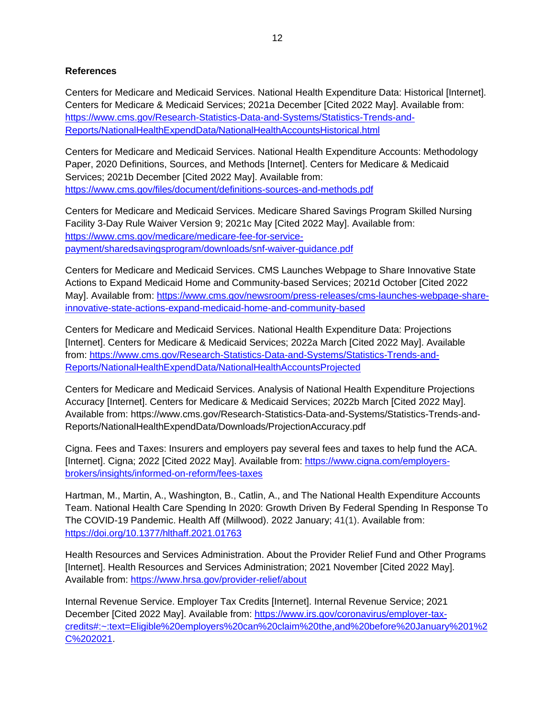#### **References**

Centers for Medicare and Medicaid Services. National Health Expenditure Data: Historical [Internet]. Centers for Medicare & Medicaid Services; 2021a December [Cited 2022 May]. Available from: [https://www.cms.gov/Research-Statistics-Data-and-Systems/Statistics-Trends-and-](https://www.cms.gov/Research-Statistics-Data-and-Systems/Statistics-Trends-and-Reports/NationalHealthExpendData/NationalHealthAccountsHistorical.html)[Reports/NationalHealthExpendData/NationalHealthAccountsHistorical.html](https://www.cms.gov/Research-Statistics-Data-and-Systems/Statistics-Trends-and-Reports/NationalHealthExpendData/NationalHealthAccountsHistorical.html)

Centers for Medicare and Medicaid Services. National Health Expenditure Accounts: Methodology Paper, 2020 Definitions, Sources, and Methods [Internet]. Centers for Medicare & Medicaid Services; 2021b December [Cited 2022 May]. Available from: <https://www.cms.gov/files/document/definitions-sources-and-methods.pdf>

Centers for Medicare and Medicaid Services. Medicare Shared Savings Program Skilled Nursing Facility 3-Day Rule Waiver Version 9; 2021c May [Cited 2022 May]. Available from: [https://www.cms.gov/medicare/medicare-fee-for-service](https://www.cms.gov/medicare/medicare-fee-for-service-payment/sharedsavingsprogram/downloads/snf-waiver-guidance.pdf)[payment/sharedsavingsprogram/downloads/snf-waiver-guidance.pdf](https://www.cms.gov/medicare/medicare-fee-for-service-payment/sharedsavingsprogram/downloads/snf-waiver-guidance.pdf)

Centers for Medicare and Medicaid Services. CMS Launches Webpage to Share Innovative State Actions to Expand Medicaid Home and Community-based Services; 2021d October [Cited 2022 May]. Available from: [https://www.cms.gov/newsroom/press-releases/cms-launches-webpage-share](https://www.cms.gov/newsroom/press-releases/cms-launches-webpage-share-innovative-state-actions-expand-medicaid-home-and-community-based)[innovative-state-actions-expand-medicaid-home-and-community-based](https://www.cms.gov/newsroom/press-releases/cms-launches-webpage-share-innovative-state-actions-expand-medicaid-home-and-community-based)

Centers for Medicare and Medicaid Services. National Health Expenditure Data: Projections [Internet]. Centers for Medicare & Medicaid Services; 2022a March [Cited 2022 May]. Available from: [https://www.cms.gov/Research-Statistics-Data-and-Systems/Statistics-Trends-and-](https://www.cms.gov/Research-Statistics-Data-and-Systems/Statistics-Trends-and-Reports/NationalHealthExpendData/NationalHealthAccountsProjected)[Reports/NationalHealthExpendData/NationalHealthAccountsProjected](https://www.cms.gov/Research-Statistics-Data-and-Systems/Statistics-Trends-and-Reports/NationalHealthExpendData/NationalHealthAccountsProjected)

Centers for Medicare and Medicaid Services. Analysis of National Health Expenditure Projections Accuracy [Internet]. Centers for Medicare & Medicaid Services; 2022b March [Cited 2022 May]. Available from: https://www.cms.gov/Research-Statistics-Data-and-Systems/Statistics-Trends-and-Reports/NationalHealthExpendData/Downloads/ProjectionAccuracy.pdf

Cigna. Fees and Taxes: Insurers and employers pay several fees and taxes to help fund the ACA. [Internet]. Cigna; 2022 [Cited 2022 May]. Available from: [https://www.cigna.com/employers](https://www.cigna.com/employers-brokers/insights/informed-on-reform/fees-taxes)[brokers/insights/informed-on-reform/fees-taxes](https://www.cigna.com/employers-brokers/insights/informed-on-reform/fees-taxes)

Hartman, M., Martin, A., Washington, B., Catlin, A., and The National Health Expenditure Accounts Team. National Health Care Spending In 2020: Growth Driven By Federal Spending In Response To The COVID-19 Pandemic. Health Aff (Millwood). 2022 January; 41(1). Available from: <https://doi.org/10.1377/hlthaff.2021.01763>

Health Resources and Services Administration. About the Provider Relief Fund and Other Programs [Internet]. Health Resources and Services Administration; 2021 November [Cited 2022 May]. Available from:<https://www.hrsa.gov/provider-relief/about>

Internal Revenue Service. Employer Tax Credits [Internet]. Internal Revenue Service; 2021 December [Cited 2022 May]. Available from: [https://www.irs.gov/coronavirus/employer-tax](https://www.irs.gov/coronavirus/employer-tax-credits#:~:text=Eligible%20employers%20can%20claim%20the,and%20before%20January%201%2C%202021)[credits#:~:text=Eligible%20employers%20can%20claim%20the,and%20before%20January%201%2](https://www.irs.gov/coronavirus/employer-tax-credits#:~:text=Eligible%20employers%20can%20claim%20the,and%20before%20January%201%2C%202021) [C%202021.](https://www.irs.gov/coronavirus/employer-tax-credits#:~:text=Eligible%20employers%20can%20claim%20the,and%20before%20January%201%2C%202021)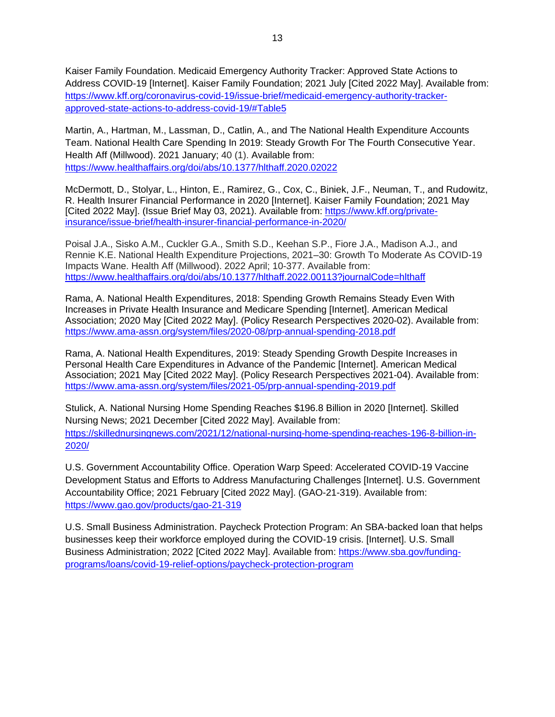Kaiser Family Foundation. Medicaid Emergency Authority Tracker: Approved State Actions to Address COVID-19 [Internet]. Kaiser Family Foundation; 2021 July [Cited 2022 May]. Available from: [https://www.kff.org/coronavirus-covid-19/issue-brief/medicaid-emergency-authority-tracker](https://www.kff.org/coronavirus-covid-19/issue-brief/medicaid-emergency-authority-tracker-approved-state-actions-to-address-covid-19/#Table5)[approved-state-actions-to-address-covid-19/#Table5](https://www.kff.org/coronavirus-covid-19/issue-brief/medicaid-emergency-authority-tracker-approved-state-actions-to-address-covid-19/#Table5)

Martin, A., Hartman, M., Lassman, D., Catlin, A., and The National Health Expenditure Accounts Team. National Health Care Spending In 2019: Steady Growth For The Fourth Consecutive Year. Health Aff (Millwood). 2021 January; 40 (1). Available from: <https://www.healthaffairs.org/doi/abs/10.1377/hlthaff.2020.02022>

McDermott, D., Stolyar, L., Hinton, E., Ramirez, G., Cox, C., Biniek, J.F., Neuman, T., and Rudowitz, R. Health Insurer Financial Performance in 2020 [Internet]. Kaiser Family Foundation; 2021 May [Cited 2022 May]. (Issue Brief May 03, 2021). Available from: [https://www.kff.org/private](https://www.kff.org/private-insurance/issue-brief/health-insurer-financial-performance-in-2020/)[insurance/issue-brief/health-insurer-financial-performance-in-2020/](https://www.kff.org/private-insurance/issue-brief/health-insurer-financial-performance-in-2020/)

Poisal J.A., Sisko A.M., Cuckler G.A., Smith S.D., Keehan S.P., Fiore J.A., Madison A.J., and Rennie K.E. National Health Expenditure Projections, 2021–30: Growth To Moderate As COVID-19 Impacts Wane. Health Aff (Millwood). 2022 April; 10-377. Available from: <https://www.healthaffairs.org/doi/abs/10.1377/hlthaff.2022.00113?journalCode=hlthaff>

Rama, A. National Health Expenditures, 2018: Spending Growth Remains Steady Even With Increases in Private Health Insurance and Medicare Spending [Internet]. American Medical Association; 2020 May [Cited 2022 May]. (Policy Research Perspectives 2020-02). Available from: <https://www.ama-assn.org/system/files/2020-08/prp-annual-spending-2018.pdf>

Rama, A. National Health Expenditures, 2019: Steady Spending Growth Despite Increases in Personal Health Care Expenditures in Advance of the Pandemic [Internet]. American Medical Association; 2021 May [Cited 2022 May]. (Policy Research Perspectives 2021-04). Available from: <https://www.ama-assn.org/system/files/2021-05/prp-annual-spending-2019.pdf>

Stulick, A. National Nursing Home Spending Reaches \$196.8 Billion in 2020 [Internet]. Skilled Nursing News; 2021 December [Cited 2022 May]. Available from: [https://skillednursingnews.com/2021/12/national-nursing-home-spending-reaches-196-8-billion-in-](https://skillednursingnews.com/2021/12/national-nursing-home-spending-reaches-196-8-billion-in-2020/)[2020/](https://skillednursingnews.com/2021/12/national-nursing-home-spending-reaches-196-8-billion-in-2020/)

U.S. Government Accountability Office. Operation Warp Speed: Accelerated COVID-19 Vaccine Development Status and Efforts to Address Manufacturing Challenges [Internet]. U.S. Government Accountability Office; 2021 February [Cited 2022 May]. (GAO-21-319). Available from: <https://www.gao.gov/products/gao-21-319>

U.S. Small Business Administration. Paycheck Protection Program: An SBA-backed loan that helps businesses keep their workforce employed during the COVID-19 crisis. [Internet]. U.S. Small Business Administration; 2022 [Cited 2022 May]. Available from: [https://www.sba.gov/funding](https://www.sba.gov/funding-programs/loans/covid-19-relief-options/paycheck-protection-program)[programs/loans/covid-19-relief-options/paycheck-protection-program](https://www.sba.gov/funding-programs/loans/covid-19-relief-options/paycheck-protection-program)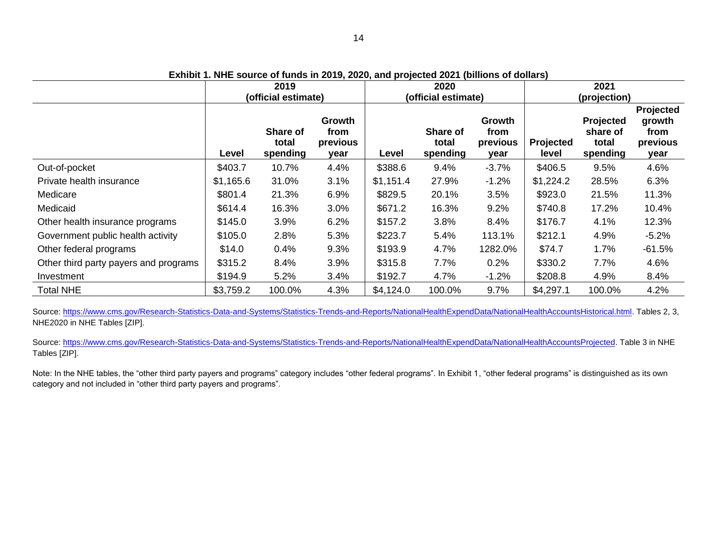**Exhibit 1. NHE source of funds in 2019, 2020, and projected 2021 (billions of dollars)**

|                                       | 2019<br>(official estimate) |                               |                                           | 2020<br>(official estimate) |                                      |                                    | 2021<br>(projection)      |                                                   |                                                 |
|---------------------------------------|-----------------------------|-------------------------------|-------------------------------------------|-----------------------------|--------------------------------------|------------------------------------|---------------------------|---------------------------------------------------|-------------------------------------------------|
|                                       | Level                       | Share of<br>total<br>spending | <b>Growth</b><br>from<br>previous<br>year | Level                       | <b>Share of</b><br>total<br>spending | Growth<br>from<br>previous<br>year | <b>Projected</b><br>level | <b>Projected</b><br>share of<br>total<br>spending | Projected<br>growth<br>from<br>previous<br>year |
| Out-of-pocket                         | \$403.7                     | 10.7%                         | 4.4%                                      | \$388.6                     | 9.4%                                 | $-3.7%$                            | \$406.5                   | 9.5%                                              | 4.6%                                            |
| Private health insurance              | \$1,165.6                   | 31.0%                         | 3.1%                                      | \$1,151.4                   | 27.9%                                | $-1.2%$                            | \$1,224.2                 | 28.5%                                             | 6.3%                                            |
| Medicare                              | \$801.4                     | 21.3%                         | 6.9%                                      | \$829.5                     | 20.1%                                | 3.5%                               | \$923.0                   | 21.5%                                             | 11.3%                                           |
| Medicaid                              | \$614.4                     | 16.3%                         | 3.0%                                      | \$671.2                     | 16.3%                                | 9.2%                               | \$740.8                   | 17.2%                                             | 10.4%                                           |
| Other health insurance programs       | \$145.0                     | 3.9%                          | 6.2%                                      | \$157.2                     | 3.8%                                 | 8.4%                               | \$176.7                   | 4.1%                                              | 12.3%                                           |
| Government public health activity     | \$105.0                     | 2.8%                          | 5.3%                                      | \$223.7                     | 5.4%                                 | 113.1%                             | \$212.1                   | 4.9%                                              | $-5.2%$                                         |
| Other federal programs                | \$14.0                      | 0.4%                          | 9.3%                                      | \$193.9                     | 4.7%                                 | 1282.0%                            | \$74.7                    | 1.7%                                              | $-61.5%$                                        |
| Other third party payers and programs | \$315.2                     | 8.4%                          | 3.9%                                      | \$315.8                     | 7.7%                                 | 0.2%                               | \$330.2                   | 7.7%                                              | 4.6%                                            |
| Investment                            | \$194.9                     | 5.2%                          | 3.4%                                      | \$192.7                     | 4.7%                                 | $-1.2%$                            | \$208.8                   | 4.9%                                              | 8.4%                                            |
| <b>Total NHE</b>                      | \$3,759.2                   | 100.0%                        | 4.3%                                      | \$4,124.0                   | 100.0%                               | 9.7%                               | \$4,297.1                 | 100.0%                                            | 4.2%                                            |

Source[: https://www.cms.gov/Research-Statistics-Data-and-Systems/Statistics-Trends-and-Reports/NationalHealthExpendData/NationalHealthAccountsHistorical.html.](https://www.cms.gov/Research-Statistics-Data-and-Systems/Statistics-Trends-andReports/NationalHealthExpendData/NationalHealthAccountsHistorical.html) Tables 2, 3, NHE2020 in NHE Tables [ZIP].

Source[: https://www.cms.gov/Research-Statistics-Data-and-Systems/Statistics-Trends-and-Reports/NationalHealthExpendData/NationalHealthAccountsProjected.](https://www.cms.gov/Research-Statistics-Data-and-Systems/Statistics-Trends-and-Reports/NationalHealthExpendData/NationalHealthAccountsProjected) Table 3 in NHE Tables [ZIP].

Note: In the NHE tables, the "other third party payers and programs" category includes "other federal programs". In Exhibit 1, "other federal programs" is distinguished as its own category and not included in "other third party payers and programs".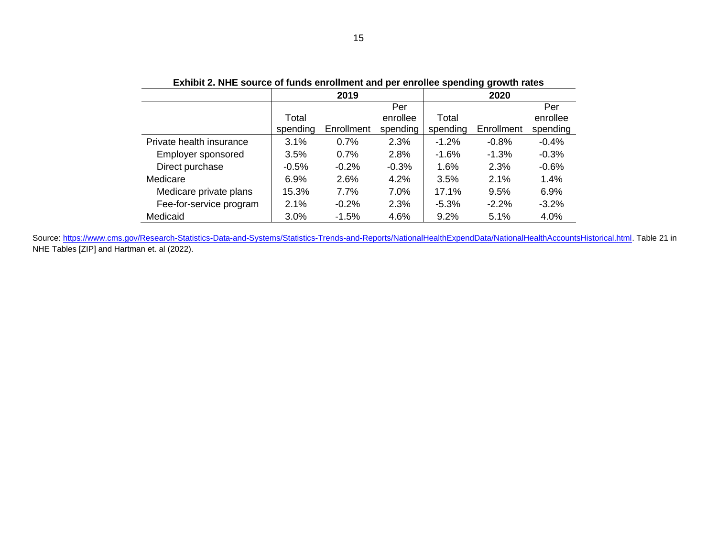| EXIMULE. NHE SOULCE OF RITUAL EMPLOINMENT AND DET ENTOILEE SPENDING GLOWIN TALES |          |            |          |          |            |          |  |  |  |
|----------------------------------------------------------------------------------|----------|------------|----------|----------|------------|----------|--|--|--|
|                                                                                  |          | 2019       |          | 2020     |            |          |  |  |  |
|                                                                                  |          |            | Per      |          |            | Per      |  |  |  |
|                                                                                  | Total    |            | enrollee | Total    |            | enrollee |  |  |  |
|                                                                                  | spending | Enrollment | spending | spending | Enrollment | spending |  |  |  |
| Private health insurance                                                         | 3.1%     | $0.7\%$    | 2.3%     | $-1.2\%$ | $-0.8\%$   | $-0.4%$  |  |  |  |
| Employer sponsored                                                               | 3.5%     | $0.7\%$    | 2.8%     | $-1.6\%$ | $-1.3%$    | $-0.3%$  |  |  |  |
| Direct purchase                                                                  | $-0.5%$  | $-0.2\%$   | $-0.3%$  | 1.6%     | 2.3%       | $-0.6%$  |  |  |  |
| Medicare                                                                         | 6.9%     | 2.6%       | 4.2%     | 3.5%     | 2.1%       | 1.4%     |  |  |  |
| Medicare private plans                                                           | 15.3%    | 7.7%       | 7.0%     | 17.1%    | 9.5%       | 6.9%     |  |  |  |
| Fee-for-service program                                                          | 2.1%     | $-0.2\%$   | 2.3%     | $-5.3\%$ | $-2.2\%$   | $-3.2%$  |  |  |  |
| Medicaid                                                                         | 3.0%     | $-1.5%$    | 4.6%     | 9.2%     | 5.1%       | 4.0%     |  |  |  |

**Exhibit 2. NHE source of funds enrollment and per enrollee spending growth rates**

Source: https://www.cms.gov/Research-Statistics-Data-and-Systems/Statistics-Trends-and-Reports/NationalHealthExpendData/NationalHealthAccountsHistorical.html</u>. Table 21 in NHE Tables [ZIP] and Hartman et. al (2022).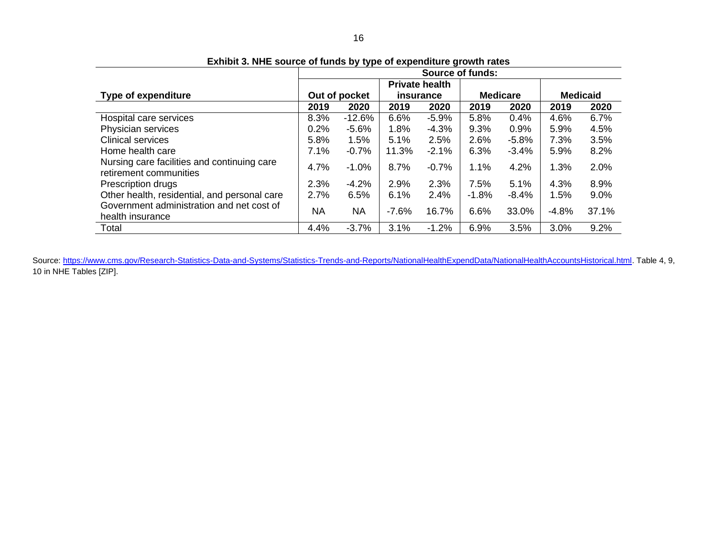|                                                                       | <b>Source of funds:</b> |           |           |                       |                 |         |                 |       |  |
|-----------------------------------------------------------------------|-------------------------|-----------|-----------|-----------------------|-----------------|---------|-----------------|-------|--|
|                                                                       |                         |           |           | <b>Private health</b> |                 |         |                 |       |  |
| <b>Type of expenditure</b>                                            | Out of pocket           |           | insurance |                       | <b>Medicare</b> |         | <b>Medicaid</b> |       |  |
|                                                                       | 2019                    | 2020      | 2019      | 2020                  | 2019            | 2020    | 2019            | 2020  |  |
| Hospital care services                                                | 8.3%                    | $-12.6%$  | 6.6%      | $-5.9%$               | 5.8%            | 0.4%    | 4.6%            | 6.7%  |  |
| Physician services                                                    | 0.2%                    | $-5.6%$   | 1.8%      | $-4.3%$               | 9.3%            | 0.9%    | 5.9%            | 4.5%  |  |
| <b>Clinical services</b>                                              | 5.8%                    | 1.5%      | 5.1%      | 2.5%                  | 2.6%            | $-5.8%$ | 7.3%            | 3.5%  |  |
| Home health care                                                      | 7.1%                    | $-0.7%$   | 11.3%     | $-2.1%$               | 6.3%            | $-3.4%$ | 5.9%            | 8.2%  |  |
| Nursing care facilities and continuing care<br>retirement communities | 4.7%                    | $-1.0%$   | 8.7%      | $-0.7%$               | 1.1%            | 4.2%    | 1.3%            | 2.0%  |  |
| Prescription drugs                                                    | 2.3%                    | $-4.2\%$  | 2.9%      | 2.3%                  | 7.5%            | 5.1%    | 4.3%            | 8.9%  |  |
| Other health, residential, and personal care                          | 2.7%                    | 6.5%      | 6.1%      | 2.4%                  | $-1.8\%$        | $-8.4%$ | 1.5%            | 9.0%  |  |
| Government administration and net cost of<br>health insurance         | <b>NA</b>               | <b>NA</b> | $-7.6%$   | 16.7%                 | 6.6%            | 33.0%   | $-4.8%$         | 37.1% |  |
| Total                                                                 | 4.4%                    | $-3.7%$   | 3.1%      | $-1.2%$               | 6.9%            | 3.5%    | 3.0%            | 9.2%  |  |

**Exhibit 3. NHE source of funds by type of expenditure growth rates**

Source[: https://www.cms.gov/Research-Statistics-Data-and-Systems/Statistics-Trends-and-Reports/NationalHealthExpendData/NationalHealthAccountsHistorical.html.](https://www.cms.gov/Research-Statistics-Data-and-Systems/Statistics-Trends-andReports/NationalHealthExpendData/NationalHealthAccountsHistorical.html) Table 4, 9, 10 in NHE Tables [ZIP].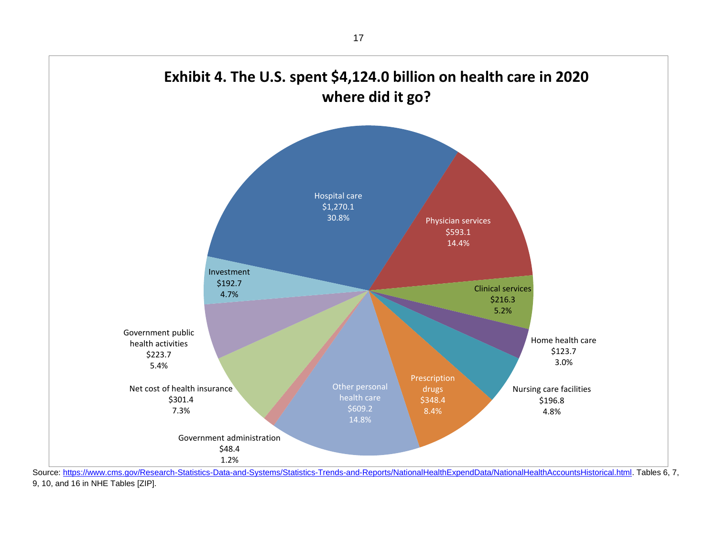

9, 10, and 16 in NHE Tables [ZIP].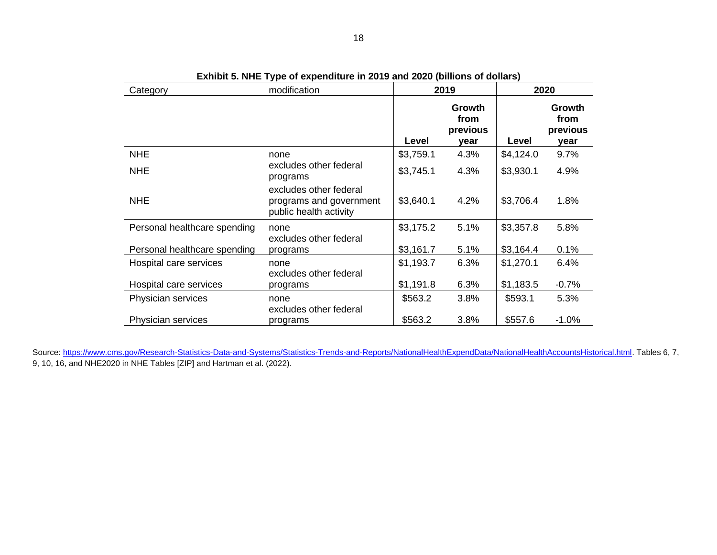| Category                     | modification                                                                | 2019      |                                           | 2020      |                                    |  |
|------------------------------|-----------------------------------------------------------------------------|-----------|-------------------------------------------|-----------|------------------------------------|--|
|                              |                                                                             | Level     | <b>Growth</b><br>from<br>previous<br>vear | Level     | Growth<br>from<br>previous<br>year |  |
| <b>NHE</b>                   | none                                                                        | \$3,759.1 | 4.3%                                      | \$4,124.0 | 9.7%                               |  |
| <b>NHE</b>                   | excludes other federal<br>programs                                          | \$3,745.1 | 4.3%                                      | \$3,930.1 | 4.9%                               |  |
| <b>NHE</b>                   | excludes other federal<br>programs and government<br>public health activity | \$3,640.1 | 4.2%                                      | \$3,706.4 | 1.8%                               |  |
| Personal healthcare spending | none<br>excludes other federal                                              | \$3,175.2 | 5.1%                                      | \$3,357.8 | 5.8%                               |  |
| Personal healthcare spending | programs                                                                    | \$3,161.7 | 5.1%                                      | \$3,164.4 | 0.1%                               |  |
| Hospital care services       | none<br>excludes other federal                                              | \$1,193.7 | 6.3%                                      | \$1,270.1 | 6.4%                               |  |
| Hospital care services       | programs                                                                    | \$1,191.8 | 6.3%                                      | \$1,183.5 | $-0.7%$                            |  |
| Physician services           | none<br>excludes other federal                                              | \$563.2   | 3.8%                                      | \$593.1   | 5.3%                               |  |
| Physician services           | programs                                                                    | \$563.2   | 3.8%                                      | \$557.6   | $-1.0%$                            |  |

| Exhibit 5. NHE Type of expenditure in 2019 and 2020 (billions of dollars) |  |  |
|---------------------------------------------------------------------------|--|--|
|---------------------------------------------------------------------------|--|--|

Source[: https://www.cms.gov/Research-Statistics-Data-and-Systems/Statistics-Trends-and-Reports/NationalHealthExpendData/NationalHealthAccountsHistorical.html.](https://www.cms.gov/Research-Statistics-Data-and-Systems/Statistics-Trends-andReports/NationalHealthExpendData/NationalHealthAccountsHistorical.html) Tables 6, 7, 9, 10, 16, and NHE2020 in NHE Tables [ZIP] and Hartman et al. (2022).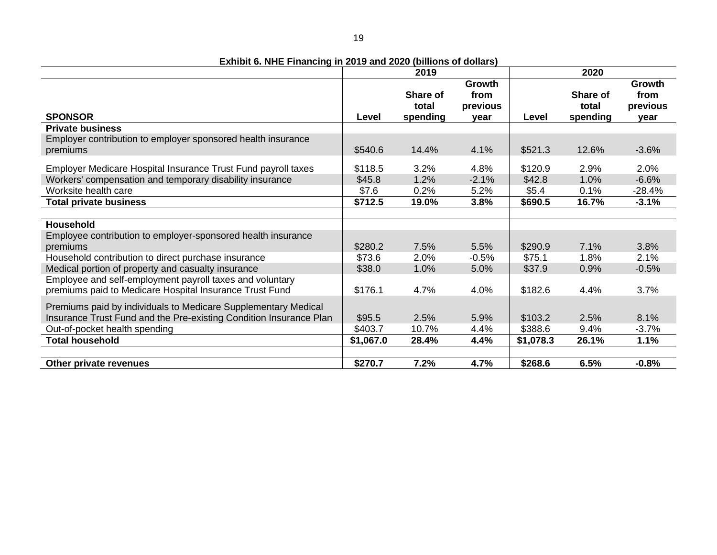**Exhibit 6. NHE Financing in 2019 and 2020 (billions of dollars)**

|                                                                                                                                      | 2019            |                               |                                    |                 | 2020                          |                                    |  |
|--------------------------------------------------------------------------------------------------------------------------------------|-----------------|-------------------------------|------------------------------------|-----------------|-------------------------------|------------------------------------|--|
| <b>SPONSOR</b>                                                                                                                       | Level           | Share of<br>total<br>spending | Growth<br>from<br>previous<br>vear | Level           | Share of<br>total<br>spending | Growth<br>from<br>previous<br>year |  |
| <b>Private business</b>                                                                                                              |                 |                               |                                    |                 |                               |                                    |  |
| Employer contribution to employer sponsored health insurance<br>premiums                                                             | \$540.6         | 14.4%                         | 4.1%                               | \$521.3         | 12.6%                         | $-3.6%$                            |  |
| Employer Medicare Hospital Insurance Trust Fund payroll taxes                                                                        | \$118.5         | 3.2%                          | 4.8%                               | \$120.9         | 2.9%                          | 2.0%                               |  |
| Workers' compensation and temporary disability insurance<br>Worksite health care                                                     | \$45.8<br>\$7.6 | 1.2%<br>0.2%                  | $-2.1%$<br>5.2%                    | \$42.8<br>\$5.4 | 1.0%<br>0.1%                  | $-6.6%$<br>$-28.4%$                |  |
| <b>Total private business</b>                                                                                                        | \$712.5         | 19.0%                         | 3.8%                               | \$690.5         | 16.7%                         | $-3.1%$                            |  |
|                                                                                                                                      |                 |                               |                                    |                 |                               |                                    |  |
| Household                                                                                                                            |                 |                               |                                    |                 |                               |                                    |  |
| Employee contribution to employer-sponsored health insurance<br>premiums                                                             | \$280.2         | 7.5%                          | 5.5%                               | \$290.9         | 7.1%                          | 3.8%                               |  |
| Household contribution to direct purchase insurance                                                                                  | \$73.6          | 2.0%                          | $-0.5%$                            | \$75.1          | 1.8%                          | 2.1%                               |  |
| Medical portion of property and casualty insurance                                                                                   | \$38.0          | 1.0%                          | 5.0%                               | \$37.9          | 0.9%                          | $-0.5%$                            |  |
| Employee and self-employment payroll taxes and voluntary<br>premiums paid to Medicare Hospital Insurance Trust Fund                  | \$176.1         | 4.7%                          | 4.0%                               | \$182.6         | 4.4%                          | 3.7%                               |  |
| Premiums paid by individuals to Medicare Supplementary Medical<br>Insurance Trust Fund and the Pre-existing Condition Insurance Plan | \$95.5          | 2.5%                          | 5.9%                               | \$103.2         | 2.5%                          | 8.1%                               |  |
| Out-of-pocket health spending<br><b>Total household</b>                                                                              | \$403.7         | 10.7%                         | 4.4%                               | \$388.6         | 9.4%                          | $-3.7%$                            |  |
|                                                                                                                                      | \$1,067.0       | 28.4%                         | 4.4%                               | \$1,078.3       | 26.1%                         | 1.1%                               |  |
| Other private revenues                                                                                                               | \$270.7         | 7.2%                          | 4.7%                               | \$268.6         | 6.5%                          | $-0.8%$                            |  |